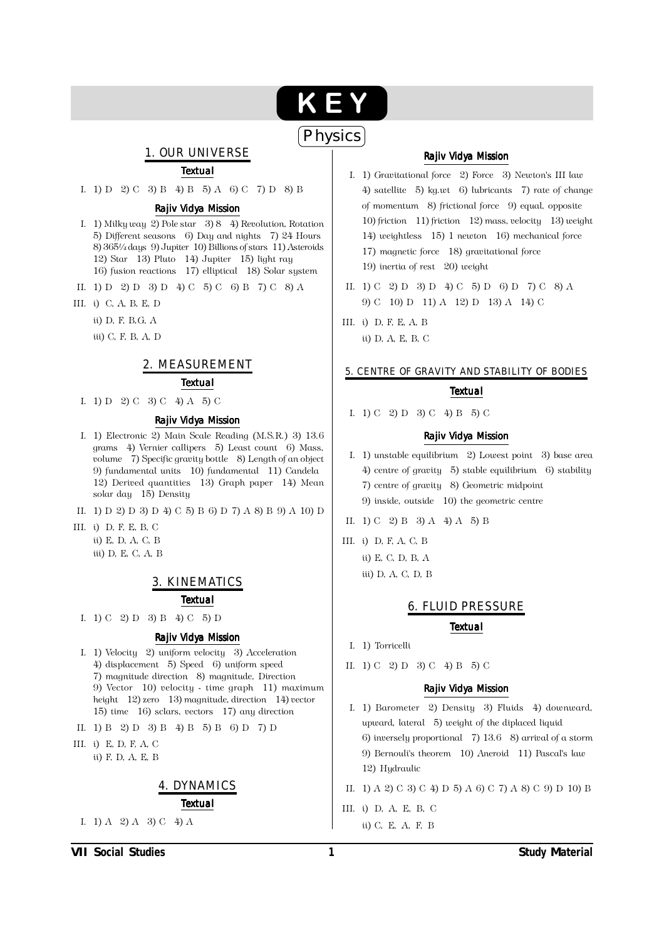# KEY

## $($ Physics $)$

### 1. OUR UNIVERSE

#### **Textual**

I. 1) D 2) C 3) B 4) B 5) A 6) C 7) D 8) B

#### Rajiv Vidya Mission

- I. 1) Milky way 2) Pole star 3 8 4) Revolution, Rotation 5) Different seasons 6) Day and nights 7) 24 Hours 8) 3651/4 days 9) Jupiter 10) Billions of stars 11) Asteroids 12) Star 13) Pluto 14) Jupiter 15) light ray 16) fusion reactions 17) elliptical 18) Solar system
- II. 1) D 2) D 3) D 4) C 5) C 6) B 7) C 8) A
- III. i) C, A, B, E, D
	- ü) D. F. B.G. A
	- iii) C, F, B, A, D

#### 2. MEASUREMENT

#### **Textual**

I. 1) D 2) C 3) C 4) A 5) C

#### Rajiv Vidya Mission

- I. 1) Electronic 2) Main Scale Reading (M.S.R.) 3) 13.6 grams 4) Vernier callipers 5) Least count 6) Mass. volume 7) Specific gravity bottle 8) Length of an object 9) fundamental units 10) fundamental 11) Candela 12) Derived quantities 13) Graph paper 14) Mean solar day 15) Density
- II. 1) D 2) D 3) D 4) C 5) B 6) D 7) A 8) B 9) A 10) D
- III. i) D, F, E, B, C ii) E, D, A, C, B iii) D, E, C, A, B

#### 3. KINEMATICS

#### **Textual**

I. 1) C 2) D 3) B 4) C 5) D

#### Rajiv Vidya Mission

- I. 1) Velocity 2) uniform velocity 3) Acceleration 4) displacement 5) Speed 6) uniform speed 7) magnitude direction 8) magnitude, Direction 9) Vector 10) velocity - time graph 11) maximum height 12) zero 13) magnitude, direction 14) vector 15) time 16) sclars, vectors 17) any direction
- II. 1) B 2) D 3) B 4) B 5) B 6) D 7) D
- III. i) E, D, F, A, C ii) F, D, A, E, B

#### **4. DYNAMICS Textual**

I. 1) A 2) A 3) C 4) A

#### Rajiv Vidya Mission

- I. 1) Gravitational force 2) Force 3) Newton's III law 4) satellite 5) kg.wt 6) lubricants 7) rate of change of momentum 8) frictional force 9) equal, opposite 10) friction 11) friction 12) mass, velocity 13) weight 14) weightless 15) 1 newton 16) mechanical force 17) magnetic force 18) gravitational force 19) inertia of rest 20) weight
- II. 1) C 2) D 3) D 4) C 5) D 6) D 7) C 8) A 9) C 10) D 11) A 12) D 13) A 14) C
- III. i) D, F, E, A, B ii) D, A, E, B, C

#### 5. CENTRE OF GRAVITY AND STABILITY OF BODIES

#### **Textual**

I. 1) C 2) D 3) C 4) B 5) C

#### Rajiv Vidya Mission

- I. 1) unstable equilibrium 2) Lowest point 3) base area 4) centre of gravity 5) stable equilibrium 6) stability 7) centre of gravity 8) Geometric midpoint 9) inside, outside 10) the geometric centre
- II. 1) C 2) B 3) A 4) A 5) B
- III. i) D, F, A, C, B ii) E. C. D. B. A iii) D. A. C. D. B

#### **6. FLUID PRESSURE**

#### **Textual**

- I. 1) Torricelli
- II. 1) C 2) D 3) C 4) B 5) C

#### Rajiv Vidya Mission

- I. 1) Barometer 2) Density 3) Fluids 4) downward, upward, lateral 5) weight of the diplaced liquid 6) inversely proportional  $\,$  7) 13.6  $\,$  8) arrival of a storm 9) Bernouli's theorem 10) Aneroid 11) Pascal's law 12) Hudraulic
- II. 1) A 2) C 3) C 4) D 5) A 6) C 7) A 8) C 9) D 10) B
- III. i) D, A, E, B, C ii) C, E, A, F, B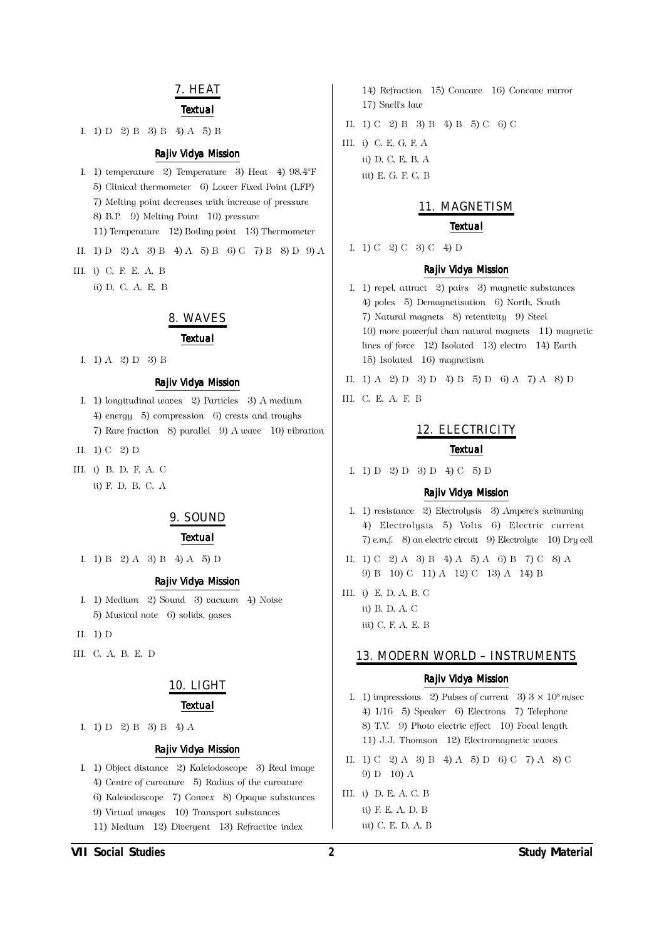#### 7. HEAT

#### **Textual**

I. 1) D 2) B 3) B 4) A 5) B

#### Rajiv Vidya Mission

- I. 1) temperature 2) Temperature 3) Heat 4)  $98.4^{\circ}$ F 5) Clinical thermometer 6) Lower Fixed Point (LFP) 7) Melting point decreases with increase of pressure 8) B.P. 9) Melting Point 10) pressure 11) Temperature 12) Boiling point 13) Thermometer
- II. 1) D 2) A 3) B 4) A 5) B 6) C 7) B 8) D 9) A
- III. i) C, F, E, A, B
	- ii) D, C, A, E, B

#### 8. WAVES

#### **Textual**

I. 1) A 2) D 3) B

#### Rajiv Vidya Mission

- I. 1) longitudinal waves 2) Particles 3) A medium  $4)$  energy  $5)$  compression  $6)$  crests and troughs 7) Rare fraction 8) parallel 9) A wave 10) vibration
- II.  $1)$  C 2) D
- III. i) B, D, F, A, C ü) F. D. B. C. A

#### 9. SOUND

#### **Textual**

I. 1) B 2) A 3) B 4) A 5) D

#### Rajiv Vidya Mission

- I. 1) Medium 2) Sound 3) vacuum 4) Noise 5) Musical note 6) solids, gases
- II.  $1)$  D
- III. C, A, B, E, D

#### 10. LIGHT

#### **Textual**

I. 1) D 2) B 3) B 4) A

#### Rajiv Vidya Mission

- I. 1) Object distance 2) Kaleiodoscope 3) Real image 4) Centre of curvature 5) Radius of the curvature
	- 6) Kaleiodoscope 7) Convex 8) Opaque substances
	- 9) Virtual images 10) Transport substances
	- 11) Medium 12) Divergent 13) Refractive index
- 14) Refraction 15) Concave 16) Concave mirror 17) Snell's law
- II. 1) C 2) B 3) B 4) B 5) C 6) C
- III. i) C. E. G. F. A ii) D, C, E, B, A iii) E, G, F, C, B

#### 11. MAGNETISM

#### **Textual**

I. 1) C 2) C 3) C 4) D

#### **Raily Vidva Mission**

- I. 1) repel, attract 2) pairs 3) magnetic substances 4) poles 5) Demagnetisation 6) North, South 7) Natural magnets 8) retentivity 9) Steel 10) more powerful than natural magnets 11) magnetic lines of force 12) Isolated 13) electro 14) Earth 15) Isolated 16) magnetism
- II. 1) A 2) D 3) D 4) B 5) D 6) A 7) A 8) D
- III. C, E, A, F, B

#### 12. ELECTRICITY

#### **Textual**

I. 1) D 2) D 3) D 4) C 5) D

#### Rajiv Vidya Mission

- I. 1) resistance 2) Electrolysis 3) Ampere's swimming 4) Electrolysis 5) Volts 6) Electric current 7) e.m.f. 8) an electric circuit 9) Electrolyte 10) Dry cell
- II. 1) C 2) A 3) B 4) A 5) A 6) B 7) C 8) A 9) B 10) C 11) A 12) C 13) A 14) B
- III. i) E, D, A, B, C  $i$ i) B. D. A. C. iii) C, F, A, E, B

#### 13. MODERN WORLD - INSTRUMENTS

#### **Raily Vidya Mission**

- I. 1) impressions 2) Pulses of current 3)  $3 \times 10^8$  m/sec 4) 1/16 5) Speaker 6) Electrons 7) Telephone 8) T.V. 9) Photo electric effect 10) Focal length 11) J.J. Thomson 12) Electromagnetic waves
- II. 1) C 2) A 3) B 4) A 5) D 6) C 7) A 8) C 9)  $D = 10$ ) A
- III. i) D. E. A. C. B ii) F, E, A, D, B iii) C, E, D, A, B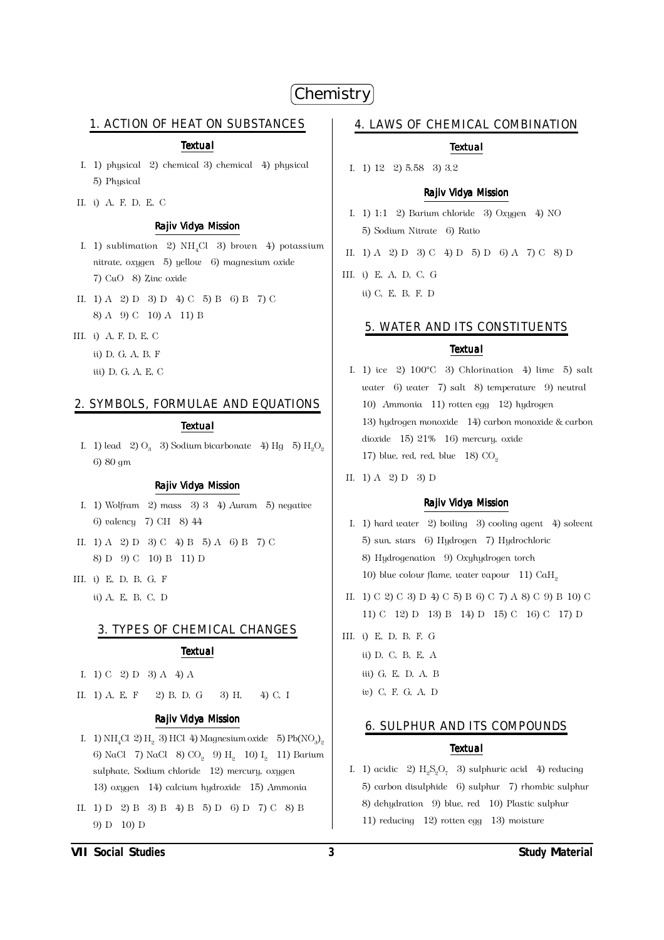## Chemistry

#### 1. ACTION OF HEAT ON SUBSTANCES

#### **Textual**

- I. 1) physical  $\sqrt{2}$  chemical 3) chemical 4) physical 5) Physical
- II. i) A, F, D, E, C

#### Rajiv Vidya Mission

- I. 1) sublimation 2)  $NH<sub>a</sub>Cl$  3) brown 4) potassium nitrate, oxygen 5) yellow 6) magnesium oxide 7) CuO 8) Zinc oxide
- II. 1) A 2) D 3) D 4) C 5) B 6) B 7) C 8) A 9) C 10) A 11) B
- III. i) A, F, D, E, C
	- ii) D, G, A, B, F
		- iii) D, G, A, E, C

#### 2. SYMBOLS, FORMULAE AND EQUATIONS

#### **Textual**

I. 1) lead 2)  $O_2$  3) Sodium bicarbonate 4) Hg 5) H<sub>3</sub>O<sub>2</sub> 6) 80 gm

#### **Raily Vidya Mission**

- I. 1) Wolfram  $\left( 2 \right)$  mass  $\left( 3 \right)$  3  $\left( 4 \right)$  Auram  $\left( 5 \right)$  negative 6) valency 7) CH 8) 44
- II. 1) A 2) D 3) C 4) B 5) A 6) B 7) C 8) D 9) C 10) B 11) D
- III. i) E, D, B, G, F ü) A. E. B. C. D

#### **3. TYPES OF CHEMICAL CHANGES**

#### **Textual**

- I. 1) C 2) D 3) A 4) A
- II.  $1)$  A. E. F.  $2) B. D. G$ 3) H. 40 C.I

#### Rajiv Vidya Mission

- I. 1) NH<sub>2</sub>Cl 2) H<sub>2</sub> 3) HCl 4) Magnesium oxide 5) Pb(NO<sub>2</sub>)<sub>2</sub> 6) NaCl 7) NaCl 8) CO<sub>2</sub> 9) H<sub>2</sub> 10) I<sub>2</sub> 11) Barium sulphate, Sodium chloride 12) mercury, oxygen 13) oxygen 14) calcium hydroxide 15) Ammonia
- II. 1) D 2) B 3) B 4) B 5) D 6) D 7) C 8) B 9) D 10) D

#### 4. LAWS OF CHEMICAL COMBINATION

#### **Textual**

I. 1) 12 2) 5.58 3) 3.2

#### Rajiv Vidya Mission

- I. 1) 1:1 2) Barium chloride 3) Oxygen 4) NO 5) Sodium Nitrate 6) Ratio
- II. 1) A 2) D 3) C 4) D 5) D 6) A 7) C 8) D
- III. i) E, A, D, C, G ii) C, E, B, F, D

#### 5. WATER AND ITS CONSTITUENTS

#### **Textual**

- I. 1) ice 2)  $100^{\circ}$ C 3) Chlorination 4) lime 5) salt water 6) water 7) salt 8) temperature 9) neutral 10) Ammonia 11) rotten egg 12) hydrogen 13) hydrogen monoxide 14) carbon monoxide & carbon dioxide 15) 21% 16) mercury, oxide 17) blue, red, red, blue  $18)$  CO<sub>2</sub>
- II. 1) A 2) D 3) D

#### Rajiv Vidya Mission

- I. 1) hard water 2) boiling 3) cooling agent 4) solvent 5) sun, stars 6) Hydrogen 7) Hydrochloric 8) Hudrogenation 9) Oxuhudrogen torch 10) blue colour flame, water vapour 11) CaH<sub>2</sub>
- II. 1) C 2) C 3) D 4) C 5) B 6) C 7) A 8) C 9) B 10) C 11) C 12) D 13) B 14) D 15) C 16) C 17) D
- III. i) E, D, B, F, G ii) D, C, B, E, A iii) G, E, D, A, B w) C, F, G, A, D

#### **6. SULPHUR AND ITS COMPOUNDS**

#### **Textual**

I. 1) acidic 2)  $H_0S_0O_7$  3) sulphuric acid 4) reducing 5) carbon disulphide 6) sulphur 7) rhombic sulphur 8) dehydration 9) blue, red 10) Plastic sulphur 11) reducing  $12$ ) rotten egg  $13$ ) moisture

**VII Social Studies**